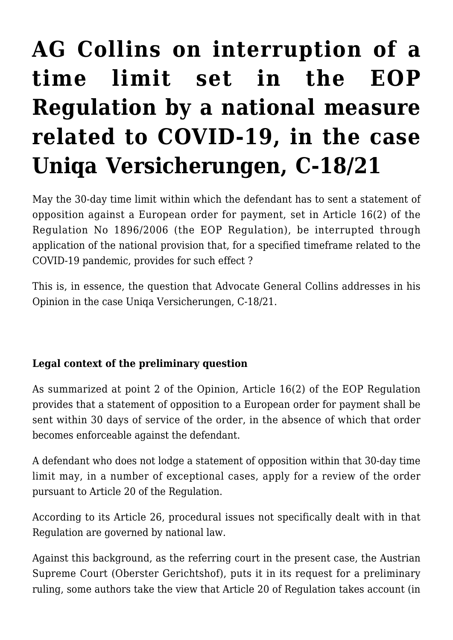# **[AG Collins on interruption of a](https://conflictoflaws.net/2022/ag-collins-on-interruption-of-a-time-limit-set-in-the-eop-regulation-by-a-national-measure-related-to-covid-19-in-the-case-uniqa-versicherungen-c-18-21/) [time limit set in the EOP](https://conflictoflaws.net/2022/ag-collins-on-interruption-of-a-time-limit-set-in-the-eop-regulation-by-a-national-measure-related-to-covid-19-in-the-case-uniqa-versicherungen-c-18-21/) [Regulation by a national measure](https://conflictoflaws.net/2022/ag-collins-on-interruption-of-a-time-limit-set-in-the-eop-regulation-by-a-national-measure-related-to-covid-19-in-the-case-uniqa-versicherungen-c-18-21/) [related to COVID-19, in the case](https://conflictoflaws.net/2022/ag-collins-on-interruption-of-a-time-limit-set-in-the-eop-regulation-by-a-national-measure-related-to-covid-19-in-the-case-uniqa-versicherungen-c-18-21/) [Uniqa Versicherungen, C-18/21](https://conflictoflaws.net/2022/ag-collins-on-interruption-of-a-time-limit-set-in-the-eop-regulation-by-a-national-measure-related-to-covid-19-in-the-case-uniqa-versicherungen-c-18-21/)**

May the 30-day time limit within which the defendant has to sent a statement of opposition against a European order for payment, set in Article 16(2) of the Regulation No 1896/2006 (the EOP Regulation), be interrupted through application of the national provision that, for a specified timeframe related to the COVID-19 pandemic, provides for such effect ?

This is, in essence, the question that Advocate General Collins addresses in his Opinion in the case Uniqa Versicherungen, C-18/21.

### **Legal context of the preliminary question**

As summarized at point 2 of the Opinion, Article 16(2) of the EOP Regulation provides that a statement of opposition to a European order for payment shall be sent within 30 days of service of the order, in the absence of which that order becomes enforceable against the defendant.

A defendant who does not lodge a statement of opposition within that 30-day time limit may, in a number of exceptional cases, apply for a review of the order pursuant to Article 20 of the Regulation.

According to its Article 26, procedural issues not specifically dealt with in that Regulation are governed by national law.

Against this background, as the referring court in the present case, the Austrian Supreme Court (Oberster Gerichtshof), puts it in its request for a preliminary ruling, some authors take the view that Article 20 of Regulation takes account (in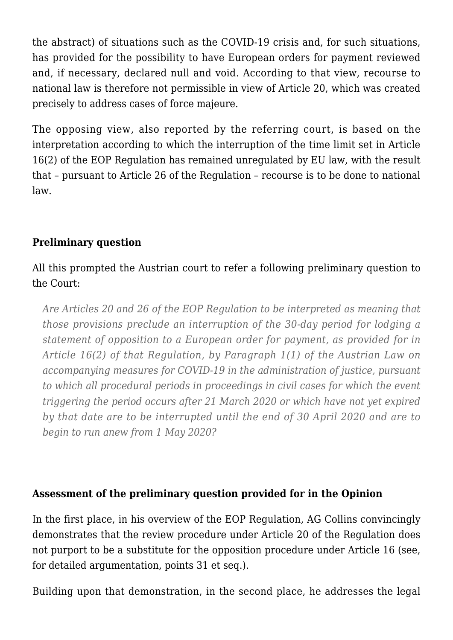the abstract) of situations such as the COVID-19 crisis and, for such situations, has provided for the possibility to have European orders for payment reviewed and, if necessary, declared null and void. According to that view, recourse to national law is therefore not permissible in view of Article 20, which was created precisely to address cases of force majeure.

The opposing view, also reported by the referring court, is based on the interpretation according to which the interruption of the time limit set in Article 16(2) of the EOP Regulation has remained unregulated by EU law, with the result that – pursuant to Article 26 of the Regulation – recourse is to be done to national law.

### **Preliminary question**

## All this prompted the Austrian court to refer a following preliminary question to the Court:

*Are Articles 20 and 26 of the EOP Regulation to be interpreted as meaning that those provisions preclude an interruption of the 30-day period for lodging a statement of opposition to a European order for payment, as provided for in Article 16(2) of that Regulation, by Paragraph 1(1) of the Austrian Law on accompanying measures for COVID-19 in the administration of justice, pursuant to which all procedural periods in proceedings in civil cases for which the event triggering the period occurs after 21 March 2020 or which have not yet expired by that date are to be interrupted until the end of 30 April 2020 and are to begin to run anew from 1 May 2020?*

#### **Assessment of the preliminary question provided for in the Opinion**

In the first place, in his overview of the EOP Regulation, AG Collins convincingly demonstrates that the review procedure under Article 20 of the Regulation does not purport to be a substitute for the opposition procedure under Article 16 (see, for detailed argumentation, points 31 et seq.).

Building upon that demonstration, in the second place, he addresses the legal